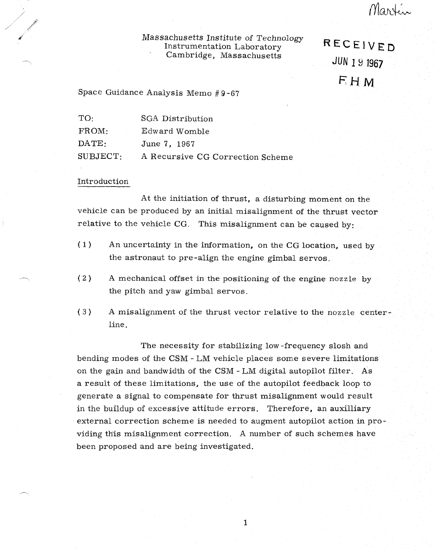# Massachusetts Institute of Technology Instrumentation Laboratory Cambridge, Massachusetts

RECEIVED JUN 1 9 1967 FHM

Martin

Space Guidance Analysis Memo #9-67

| $\mathrm{T} \Omega$ | SGA Distribution                 |
|---------------------|----------------------------------|
| FROM:               | Edward Womble                    |
| $\text{DATE:}$      | June 7, 1967                     |
| SUBJECT:            | A Recursive CG Correction Scheme |

### Introduction

At the initiation of thrust, a disturbing moment on the vehicle can be produced by an initial misalignment of the thrust vector relative to the vehicle CG. This misalignment can be caused by:

- (1) An uncertainty in the information, on the CG location, used by the astronaut to pre-align the engine gimbal servos.
- (2) A mechanical offset in the positioning of the engine nozzle by the pitch and yaw gimbal servos.
- (3) A misalignment of the thrust vector relative to the nozzle centerline.

The necessity for stabilizing low-frequency slosh and bending modes of the CSM - LM vehicle places some severe limitations on the gain and bandwidth of the CSM - LM digital autopilot filter. As a result of these limitations, the use of the autopilot feedback loop to generate a signal to compensate for thrust misalignment would result in the buildup of excessive attitude errors. Therefore, an auxilliary external correction scheme is needed to augment autopilot action in providing this misalignment correction. A number of such schemes have been proposed and are being investigated.

 $\mathbf{1}$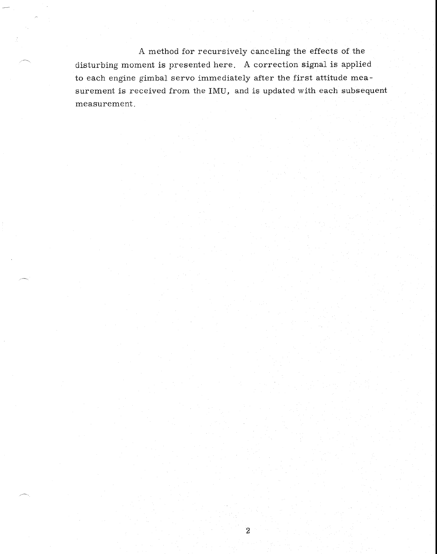A method for recursively canceling the effects of the disturbing moment is presented here. A correction signal is applied to each engine gimbal servo immediately after the first attitude measurement is received from the IMU, and is updated with each subsequent measurement.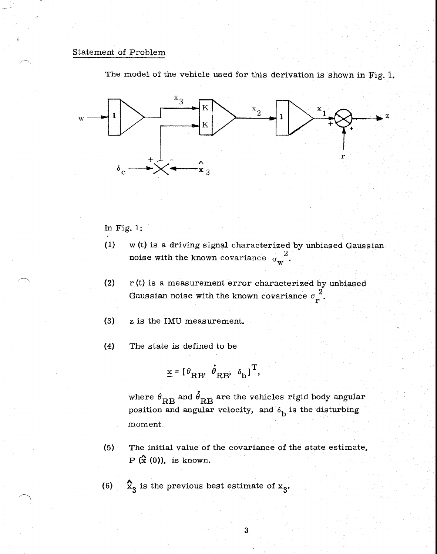# Statement of Problem



The model of the vehicle used for this derivation is shown in Fig. 1.

In Fig. 1:

- (1) w (t) is a driving signal characterized by unbiased Gaussian noise with the known covariance  $\sigma_w^2$ .
- (2) r (t) is a measurement error characterized by unbiased Gaussian noise with the known covariance  $\sigma_r^2$ .
- (3) z is the IMU measurement.
- (4) The state is defined to be

 $\underline{x} = [\theta_{RB}, \dot{\theta}_{RB}, \delta_b]^T$ ,

where  $\theta_{\text{RB}}$  and  $\dot{\theta}_{\text{RB}}$  are the vehicles rigid body angular position and angular velocity, and  $\delta_{\rm b}$  is the disturbing moment.

- (5) The initial value of the covariance of the state estimate,  $P$   $(\hat{x}$  (0)), is known.
- (6)  $\hat{\mathbf{x}}_3$  is the previous best estimate of  $\mathbf{x}_3$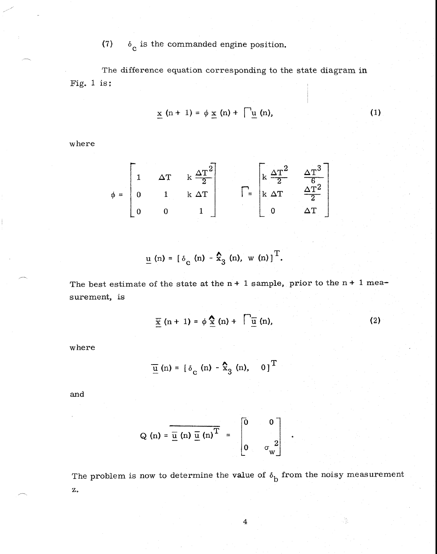#### $(7)$  $\delta_c$  is the commanded engine position.

The difference equation corresponding to the state diagram in Fig. 1 is:

$$
\underline{x} \quad (n+1) = \phi \underline{x} \quad (n) + \bigcap \underline{u} \quad (n), \tag{1}
$$

where

$$
\phi = \begin{bmatrix} 1 & \Delta T & k \frac{\Delta T^2}{2} \\ 0 & 1 & k \Delta T \\ 0 & 0 & 1 \end{bmatrix} \qquad \qquad \Gamma = \begin{bmatrix} k \frac{\Delta T^2}{2} & \frac{\Delta T^3}{6} \\ k \Delta T & \frac{\Delta T^2}{2} \\ 0 & \Delta T \end{bmatrix}
$$

$$
\underline{u} \text{ (n) = } [\delta_{\text{c}} \text{ (n) - } \hat{\mathbf{x}}_{3} \text{ (n), w (n)}]^{\text{T}}.
$$

The best estimate of the state at the  $n + 1$  sample, prior to the  $n + 1$  measurement, is

$$
\overline{\underline{x}}(n+1) = \phi \underline{\hat{x}}(n) + \overline{\underline{u}}(n), \qquad (2)
$$

where

$$
\underline{\overline{u}}\ (n) = \begin{bmatrix} \delta_c \ (n) - \hat{x}_3 \ (n), \quad 0 \end{bmatrix}^T
$$

and

$$
Q(n) = \overline{\underline{u}(n) \underline{u}(n)^{T}} = \begin{bmatrix} 0 & 0 \\ 0 & \sigma_{w}^{2} \end{bmatrix}
$$

The problem is now to determine the value of  $\delta_{\rm b}$  from the noisy measurement z.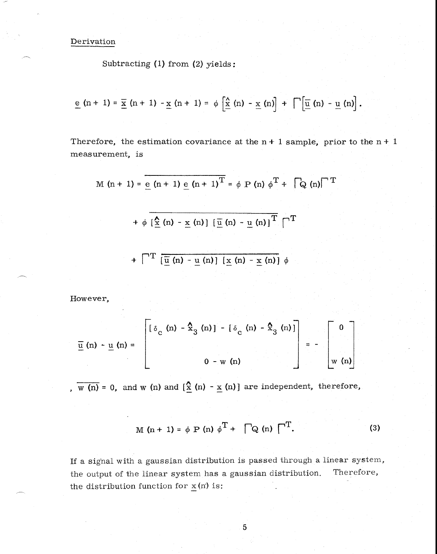Derivation

Subtracting (1) from (2) yields:

$$
\underline{e}(n+1) = \underline{\overline{x}}(n+1) - \underline{x}(n+1) = \phi \left[ \underline{\hat{x}}(n) - \underline{x}(n) \right] + \bigcap \left[ \underline{\overline{u}}(n) - \underline{u}(n) \right].
$$

Therefore, the estimation covariance at the  $n + 1$  sample, prior to the  $n + 1$ measurement, is

M (n + 1) = 
$$
\frac{e(n + 1) e(n + 1)^{T}}{e(n + 1)^{T}} = \phi P(n) \phi^{T} + \sqrt{Q(n) T}
$$
  
+  $\phi \left[ \frac{\hat{x}(n) - x(n)}{I(n) - u(n)} \right] \left[ \frac{\overline{u}(n) - u(n)}{I} \right]^{T}$   
+  $\sqrt{T} \left[ \frac{\overline{u}(n) - u(n)}{I(n) - u(n)} \right] \left[ \frac{x(n) - x(n)}{I(n) - u(n)} \right] \phi$ 

However,

$$
\overline{\underline{u}}\ (n) - \underline{u}\ (n) = \begin{bmatrix} \delta_c & (n) - \frac{\Lambda}{2} & (n) \end{bmatrix} - \begin{bmatrix} \delta_c & (n) - \frac{\Lambda}{2} & (n) \end{bmatrix} = - \begin{bmatrix} 0 \\ w & (n) \end{bmatrix}
$$

,  $\overline{w(n)} = 0$ , and  $w(n)$  and  $\left[\frac{\hat{x}}{1}\right](n) - \underline{x}(n)$  are independent, therefore,

$$
M(n + 1) = \phi P(n) \phi^{T} + \bigcap Q(n) \bigcap^{T}
$$
. (3)

If a signal with a gaussian distribution is passed through a linear system, the output of the linear system has a gaussian distribution. the distribution function for  $\underline{x}$ (n) is: Therefore,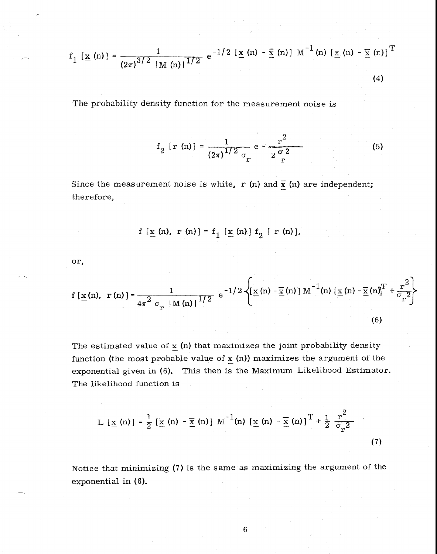$$
f_1 \left[ \underline{x} \left( n \right) \right] = \frac{1}{(2\pi)^{3/2} |M(n)|^{1/2}} e^{-1/2} \left[ \underline{x} \left( n \right) - \overline{\underline{x}} \left( n \right) \right] M^{-1}(n) \left[ \underline{x} \left( n \right) - \overline{\underline{x}} \left( n \right) \right]^{T}
$$
\n(4)

The probability density function for the measurement noise is

$$
f_2 [r (n)] = \frac{1}{(2\pi)^{1/2} \sigma_r} e^{-\frac{r^2}{2 \sigma^2}}
$$
 (5)

Since the measurement noise is white, r (n) and  $\bar{x}$  (n) are independent; therefore,

$$
f\left[\underline{x}(n), r(n)\right] = f_1\left[\underline{x}(n)\right] f_2\left[r(n)\right],
$$

or,

$$
f\left[\underline{x}\left(n\right),\ r\left(n\right)\right] = \frac{1}{4\pi^2 \sigma_r \left|M\left(n\right)\right|^{1/2}} e^{-1/2} \left\{ \left[\underline{x}\left(n\right) - \overline{\underline{x}}\left(n\right)\right] M^{-1}\left(n\right) \left[\underline{x}\left(n\right) - \overline{\underline{x}}\left(n\right)\right]^T + \frac{r^2}{\sigma_r^2} \right\}
$$
\n(6)

The estimated value of  $\underline{x}$  (n) that maximizes the joint probability density function (the most probable value of  $x(n)$ ) maximizes the argument of the exponential given in (6). This then is the Maximum Likelihood Estimator. The likelihood function is

$$
L [\underline{x} (n)] = \frac{1}{2} [\underline{x} (n) - \overline{\underline{x}} (n)] M^{-1}(n) [\underline{x} (n) - \overline{\underline{x}} (n)]^{T} + \frac{1}{2} \frac{r^{2}}{\sigma_{r}^{2}}
$$
(7)

Notice that minimizing (7) is the same as maximizing the argument of the exponential in (6).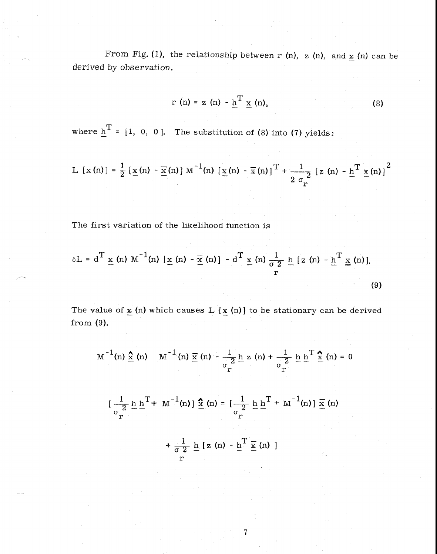From Fig. (1), the relationship between r (n), z (n), and  $\underline{x}$  (n) can be derived by observation.

$$
r(n) = z(n) - \underline{h}^{T} \underline{x}(n), \qquad (8)
$$

where  $\underline{h}^T = [1, 0, 0]$ . The substitution of (8) into (7) yields:

L [x (n)] = 
$$
\frac{1}{2}
$$
 [ x(n) - x(n)] M<sup>-1</sup>(n) [ x(n) - x(n)]<sup>T</sup> +  $\frac{1}{2 \sigma_r^2}$  [z (n) - h<sup>T</sup> x(n)]<sup>2</sup>

The first variation of the likelihood function is

$$
\delta L = d^T \underline{x} \text{ (n) } M^{-1} \text{ (n) } [\underline{x} \text{ (n) } - \overline{\underline{x}} \text{ (n)}] - d^T \underline{x} \text{ (n) } \frac{1}{\sigma^2} \underline{h} [\underline{z} \text{ (n) } - \underline{h}^T \underline{x} \text{ (n)}].
$$
\n(9)

The value of  $\underline{\mathbf{x}}$  (n) which causes L  $[\,\underline{\mathbf{x}}\,$  (n)] to be stationary can be derived from (9).

$$
M^{-1}(n) \hat{\underline{x}}(n) - M^{-1}(n) \underline{\overline{x}}(n) - \frac{1}{\sigma_r^2} \underline{h} z(n) + \frac{1}{\sigma_r^2} \underline{h} \underline{h}^T \hat{\underline{x}}(n) = 0
$$

$$
[\frac{1}{\sigma_{\mathbf{r}}^{2}} \underline{\mathbf{h}} \underline{\mathbf{h}}^{T} + \mathbf{M}^{-1}(\mathbf{n})] \underline{\hat{\mathbf{x}}}\n\ (\mathbf{n}) = [\frac{1}{\sigma_{\mathbf{r}}^{2}} \underline{\mathbf{h}} \underline{\mathbf{h}}^{T} + \mathbf{M}^{-1}(\mathbf{n})] \underline{\overline{\mathbf{x}}}\n\ (\mathbf{n})
$$

$$
+\frac{1}{\sigma 2} \underline{h} [z (n) - \underline{h}^T \underline{\overline{x}} (n) ]
$$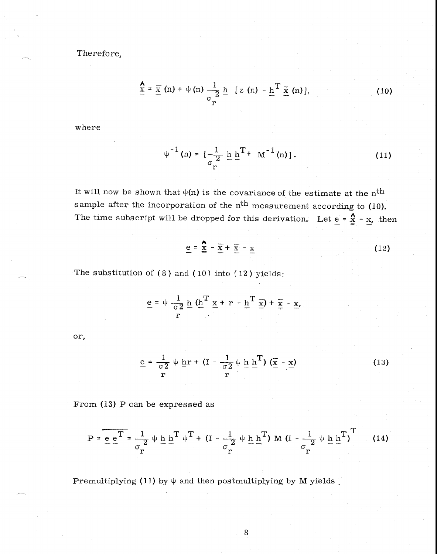Therefore,

$$
\frac{\mathbf{A}}{\mathbf{X}} = \frac{\overline{\mathbf{X}}}{\mathbf{X}} \text{ (n)} + \psi \text{ (n)} \frac{1}{\sigma_{\mathbf{r}}} \underline{\mathbf{h}} \quad [\mathbf{z} \text{ (n)} - \underline{\mathbf{h}}^{\mathbf{T}} \frac{\overline{\mathbf{X}}}{\mathbf{X}} \text{ (n)}], \tag{10}
$$

where

$$
\psi^{-1}(n) = \left[\frac{1}{\sigma_{r}^{2}} \underline{h} \underline{h}^{T} + M^{-1}(n)\right].
$$
 (11)

It will now be shown that  $\psi(n)$  is the covariance of the estimate at the n<sup>th</sup> sample after the incorporation of the  $n<sup>th</sup>$  measurement according to (10). The time subscript will be dropped for this derivation. Let  $\underline{e} = \underline{\hat{x}} - \underline{x}$ , then<br>  $\underline{e} = \underline{\hat{x}} - \underline{\overline{x}} + \underline{\overline{x}} - \underline{x}$  (12)

$$
\underline{e} = \frac{\mathbf{A}}{\underline{x}} - \overline{\underline{x}} + \overline{\underline{x}} - \underline{x}
$$
 (12)

The substitution of  $(8)$  and  $(10)$  into  $(12)$  yields:

$$
\underline{\mathbf{e}} = \psi \frac{1}{\sigma^2} \underline{\mathbf{h}} \underbrace{(\mathbf{h}^T \underline{\mathbf{x}} + \mathbf{r} - \underline{\mathbf{h}}^T \underline{\mathbf{x}}) + \underline{\mathbf{x}} - \underline{\mathbf{x}}}_{r},
$$

or,

$$
\underline{\mathbf{e}} = \frac{1}{\sigma^2} \psi \underline{\mathbf{h}} \mathbf{r} + (\mathbf{I} - \frac{1}{\sigma^2} \psi \underline{\mathbf{h}} \underline{\mathbf{h}}^{\mathrm{T}}) (\underline{\overline{\mathbf{x}}} - \underline{\mathbf{x}})
$$
(13)

From (13) P can be expressed as

$$
P = \underline{e} \cdot \underline{e}^{T} = \frac{1}{\sigma_{r}^{2}} \psi \underline{h} \underline{h}^{T} \psi^{T} + (I - \frac{1}{\sigma_{r}^{2}} \psi \underline{h} \underline{h}^{T}) M (I - \frac{1}{\sigma_{r}^{2}} \psi \underline{h} \underline{h}^{T})^{T}
$$
 (14)

Premultiplying (11) by  $\psi$  and then postmultiplying by M yields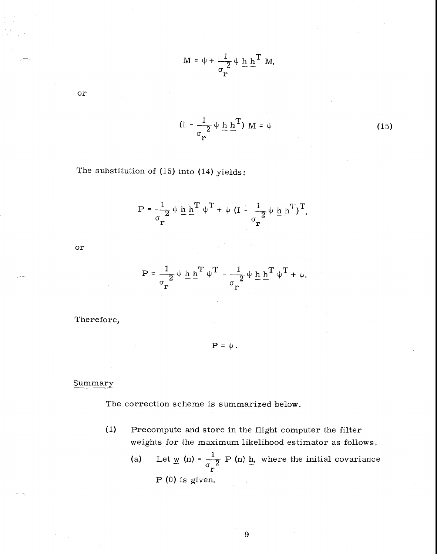$$
M = \psi + \frac{1}{\sigma_{r}} \psi \underline{h} \underline{h}^{T} M,
$$

or

$$
(I - \frac{1}{\sigma_r^2} \psi \underline{h} \underline{h}^T) M = \psi
$$
 (15)

The substitution of (15) into (14) yields:

$$
P = \frac{1}{\sigma_r^2} \psi \underline{h} \underline{h}^T \psi^T + \psi (I - \frac{1}{\sigma_r^2} \psi \underline{h} \underline{h}^T)^T,
$$

or

$$
\mathbf{P} = \frac{1}{\sigma_r^2} \boldsymbol{\psi} \underline{\mathbf{h}} \underline{\mathbf{h}}^T \boldsymbol{\psi}^T - \frac{1}{\sigma_r^2} \boldsymbol{\psi} \underline{\mathbf{h}} \underline{\mathbf{h}}^T \boldsymbol{\psi}^T + \boldsymbol{\psi}.
$$

Therefore,

 $P = \psi$ .

## Summary

The correction scheme is summarized below.

- (1) Precompute and store in the flight computer the filter weights for the maximum likelihood estimator as follows.
	- (a) Let  $\underline{w}$  (n) =  $\frac{1}{\sigma_r^2}$  P (n) <u>h</u>, where the initial covariance P (0) is given.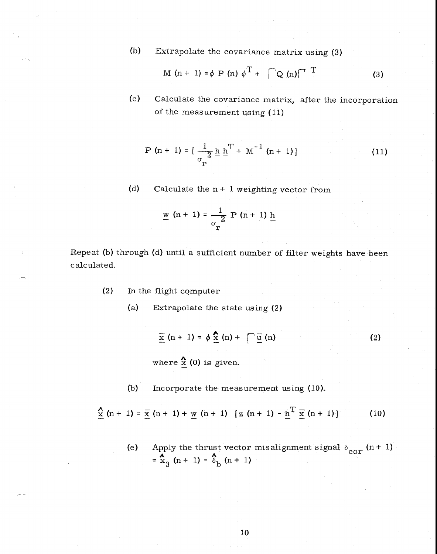(b) Extrapolate the covariance matrix using (3)

$$
M(n + 1) = \phi P(n) \phi^{T} + \bigcap Q(n)^{-T}
$$
 (3)

(c) Calculate the covariance matrix, after the incorporation of the measurement using (11)

$$
P(n + 1) = \left[\frac{1}{\sigma_r^2} \underline{h} \underline{h}^T + M^{-1} (n + 1)\right]
$$
 (11)

(d) Calculate the  $n + 1$  weighting vector from

$$
\underline{w} (n + 1) = \frac{1}{\sigma_{r}} P (n + 1) \underline{h}
$$

Repeat (b) through (d) until a sufficient number of filter weights have been calculated.

- (2) In the flight computer
	- (a) Extrapolate the state using (2)

$$
\overline{\underline{x}}(n+1) = \phi \underline{\underline{x}}(n) + \sqrt{\underline{u}}(n)
$$
 (2)

where  $\frac{\lambda}{\underline{x}}$  (0) is given.

(b) Incorporate the measurement using (10).

$$
\frac{\Lambda}{\underline{x}} (n+1) = \frac{\overline{x}}{n+1} + \frac{\overline{y}}{n+1} (n+1) [z(n+1) - \underline{h}^T \overline{x} (n+1)] \qquad (10)
$$

(e) Apply the thrust vector misalignment signal  $\delta_{corr}$  (n + 1)  $=\frac{A}{x_3}(n+1) = \frac{A}{b_0}(n+1)$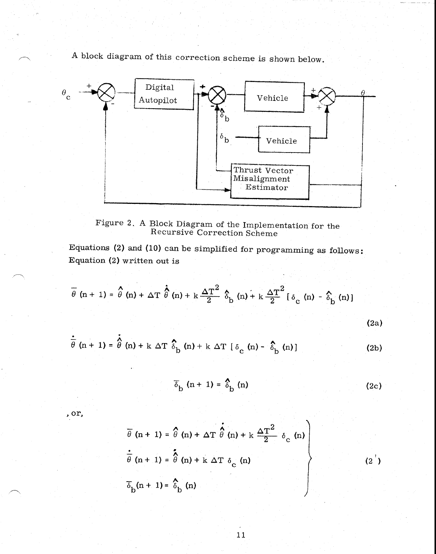A block diagram of this correction scheme is shown below.



Figure 2. A Block Diagram of the Implementation for the Recursive Correction Scheme

Equations (2) and (10) can be simplified for programming as follows: Equation (2) written out is

$$
\overline{\theta} \text{ (n + 1) = } \hat{\theta} \text{ (n) + } \Delta \text{T} \dot{\hat{\theta}} \text{ (n) + k} \frac{\Delta \text{T}^2}{2} \hat{\delta}_{\text{b}} \text{ (n) + k} \frac{\Delta \text{T}^2}{2} [\delta_{\text{c}} \text{ (n) - } \hat{\delta}_{\text{b}} \text{ (n)}]
$$
\n(2a)

$$
\frac{\dot{\hat{\theta}}}{\theta} (n+1) = \hat{\theta} (n) + k \Delta T \hat{\delta}_{b} (n) + k \Delta T [\delta_{c} (n) - \hat{\delta}_{b} (n)]
$$
 (2b)

$$
\overline{\delta}_{\text{b}} \text{ (n + 1) = } \delta_{\text{b}} \text{ (n)}
$$
 (2c)

, or,

$$
\overline{\theta} (n + 1) = \hat{\theta} (n) + \Delta T \hat{\theta} (n) + k \frac{\Delta T^2}{2} \delta_c (n)
$$
  

$$
\overline{\theta} (n + 1) = \hat{\theta} (n) + k \Delta T \delta_c (n)
$$
  

$$
\overline{\delta}_b (n + 1) = \delta_b (n)
$$
 (2')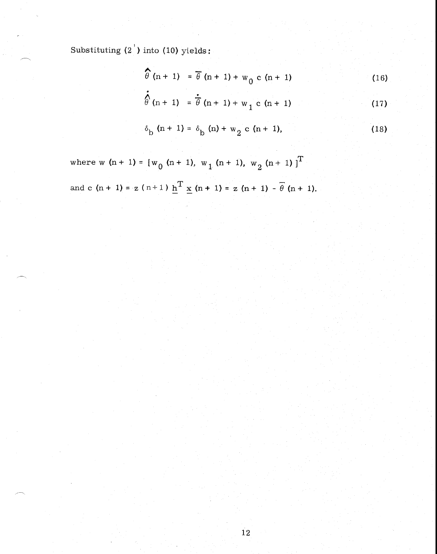Substituting  $(2')$  into  $(10)$  yields:

$$
\widehat{\theta}(n+1) = \overline{\theta}(n+1) + w_0 \ c (n+1)
$$
 (16)

$$
\hat{\phi}^{(n+1)} = \hat{\phi}^{(n+1)+w_1} c^{(n+1)}
$$
 (17)

$$
\delta_{\rm b} \, \left( \text{n} + 1 \right) = \delta_{\rm b} \, \left( \text{n} \right) + \, \text{w}_2 \, \, \text{c} \, \left( \text{n} + 1 \right), \tag{18}
$$

where w  $(n + 1) = [w_0(n + 1), w_1(n + 1), w_2(n + 1)]^T$ and c  $(n + 1) = z (n+1) \underline{h}^{T} \underline{x} (n + 1) = z (n + 1) - \theta (n + 1)$ .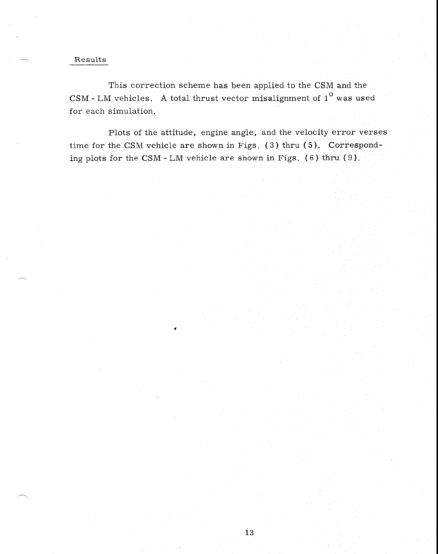## Results

This correction scheme has been applied to the CSM and the CSM - LM vehicles. A total thrust vector misalignment of  $1^\circ$  was used for each simulation.

Plots of the attitude, engine angle, and the velocity error verses time for the CSM vehicle are shown in Figs. ( 3) thru ( 5). Corresponding plots for the CSM - LM vehicle are shown in Figs.  $(6)$  thru  $(9)$ .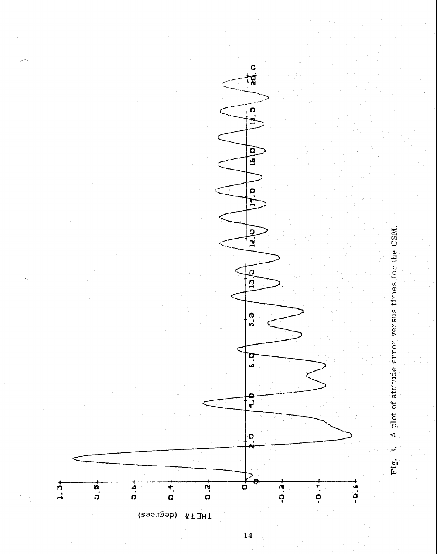

 $\overline{14}$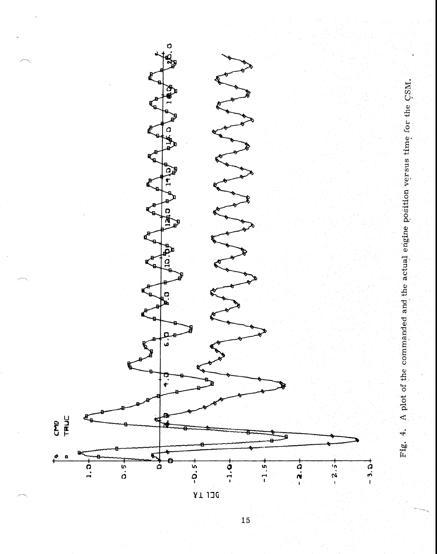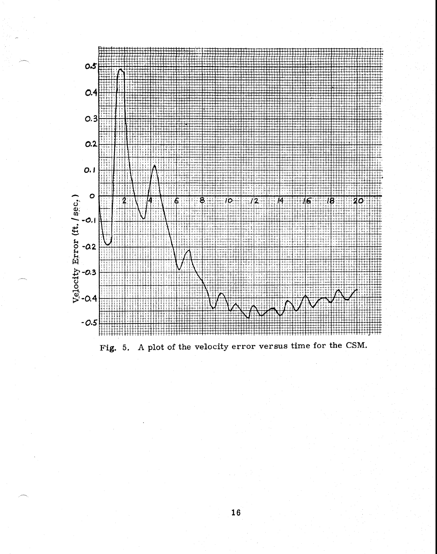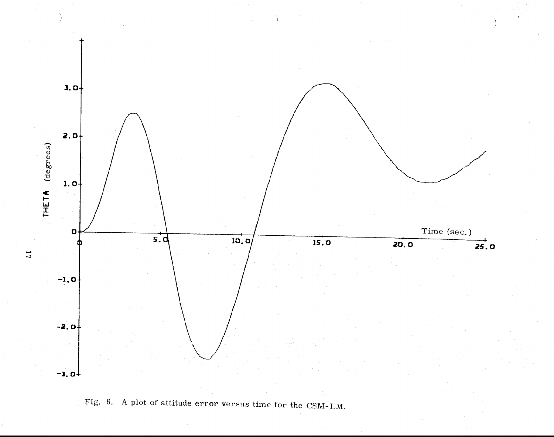



 $\overline{L}$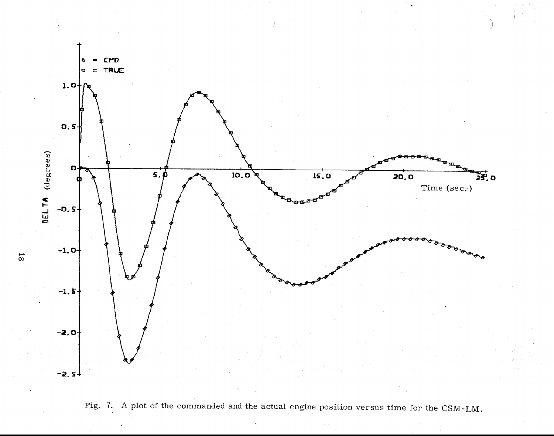



 $\overline{8}$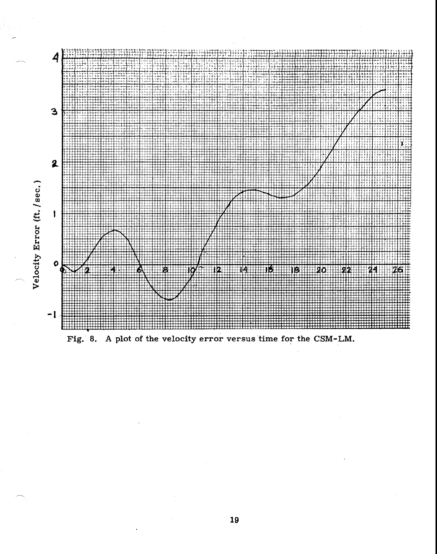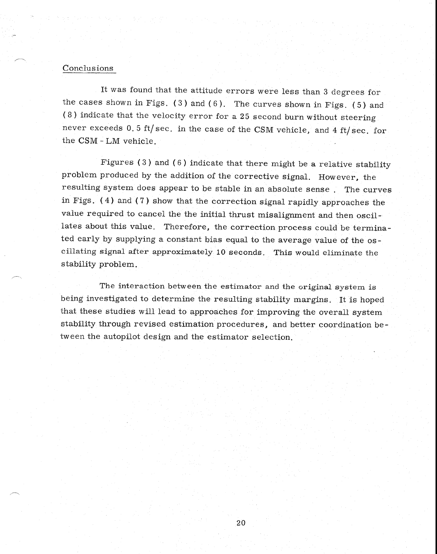# Conclusions

It was found that the attitude errors were less than 3 degrees for the cases shown in Figs.  $(3)$  and  $(6)$ . The curves shown in Figs.  $(5)$  and (8) indicate that the velocity error for a 25 second burn without steering never exceeds 0.5 ft/sec. in the case of the CSM vehicle, and 4 ft/sec. for the CSM - LM vehicle.

Figures (3) and (6) indicate that there might be a relative stability problem produced by the addition of the corrective signal. However, the resulting system does appear to be stable in an absolute sense. The curves in Figs. (4) and (7) show that the correction signal rapidly approaches the value required to cancel the the initial thrust misalignment and then oscillates about this value. Therefore, the correction process could be terminated early by supplying a constant bias equal to the average value of the oscillating signal after approximately 10 seconds. This would eliminate the stability problem.

The interaction between the estimator and the original system is being investigated to determine the resulting stability margins. It is hoped that these studies will lead to approaches for improving the overall system stability through revised estimation procedures, and better coordination between the autopilot design and the estimator selection.